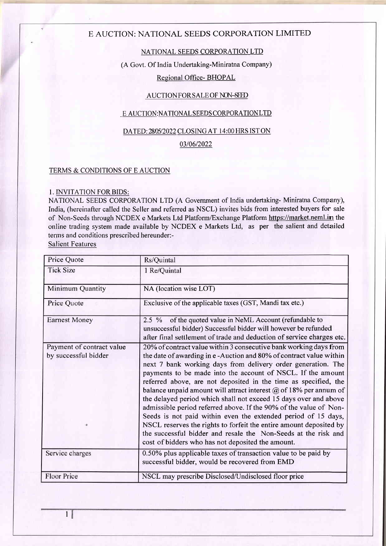## E AUCTION: NATIONAL SEEDS CORPORATION LIMITED

## NATIONAL SEEDS CORPORATION LTD

(A Govt. Of India Undertaking-Miniratna Company)

## Regional Office- BHOPAL

## AUCTION FOR SALE OF NON-SEED

## <u>E AUCTION:NATIONAL SEEDS CORPORATION LTD</u>

## DATED: 2805/2022 CLOSING AT 14:00 HRS IST ON

### 0310612022

## TERMS & CONDITIONS OF E AUCTION

## I. INVITATION FOR BIDS:

NATIONAL SEEDS CORPORATION LTD (A Govemment of India undertaking- Miniratna Company), India, (hereinafter called the Seller and referred as NSCL) invites bids from interested buyers for sale of Non-Seeds through NCDEX e Markets Ltd Platform/Exchange Platform https://market.neml.in the online trading system made available by NCDEX e Markets Ltd, as per the salient and detailed terms and conditions prescribed hereunder:-

Salient Features

| Price Quote                                            | Rs/Quintal                                                                                                                                                                                                                                                                                                                                                                                                                                                                                                                                                                                                                                                                                                                                                                                                                   |  |
|--------------------------------------------------------|------------------------------------------------------------------------------------------------------------------------------------------------------------------------------------------------------------------------------------------------------------------------------------------------------------------------------------------------------------------------------------------------------------------------------------------------------------------------------------------------------------------------------------------------------------------------------------------------------------------------------------------------------------------------------------------------------------------------------------------------------------------------------------------------------------------------------|--|
| <b>Tick Size</b>                                       | 1 Re/Quintal                                                                                                                                                                                                                                                                                                                                                                                                                                                                                                                                                                                                                                                                                                                                                                                                                 |  |
| Minimum Quantity                                       | NA (location wise LOT)                                                                                                                                                                                                                                                                                                                                                                                                                                                                                                                                                                                                                                                                                                                                                                                                       |  |
| Price Quote                                            | Exclusive of the applicable taxes (GST, Mandi tax etc.)                                                                                                                                                                                                                                                                                                                                                                                                                                                                                                                                                                                                                                                                                                                                                                      |  |
| <b>Earnest Money</b>                                   | of the quoted value in NeML Account (refundable to<br>$2.5\%$<br>unsuccessful bidder) Successful bidder will however be refunded<br>after final settlement of trade and deduction of service charges etc.                                                                                                                                                                                                                                                                                                                                                                                                                                                                                                                                                                                                                    |  |
| Payment of contract value<br>by successful bidder<br>Q | 20% of contract value within 3 consecutive bank working days from<br>the date of awarding in e-Auction and 80% of contract value within<br>next 7 bank working days from delivery order generation. The<br>payments to be made into the account of NSCL. If the amount<br>referred above, are not deposited in the time as specified, the<br>balance unpaid amount will attract interest $\omega$ of 18% per annum of<br>the delayed period which shall not exceed 15 days over and above<br>admissible period referred above. If the 90% of the value of Non-<br>Seeds is not paid within even the extended period of 15 days,<br>NSCL reserves the rights to forfeit the entire amount deposited by<br>the successful bidder and resale the Non-Seeds at the risk and<br>cost of bidders who has not deposited the amount. |  |
| Service charges                                        | 0.50% plus applicable taxes of transaction value to be paid by<br>successful bidder, would be recovered from EMD                                                                                                                                                                                                                                                                                                                                                                                                                                                                                                                                                                                                                                                                                                             |  |
| Floor Price                                            | NSCL may prescribe Disclosed/Undisclosed floor price                                                                                                                                                                                                                                                                                                                                                                                                                                                                                                                                                                                                                                                                                                                                                                         |  |

1&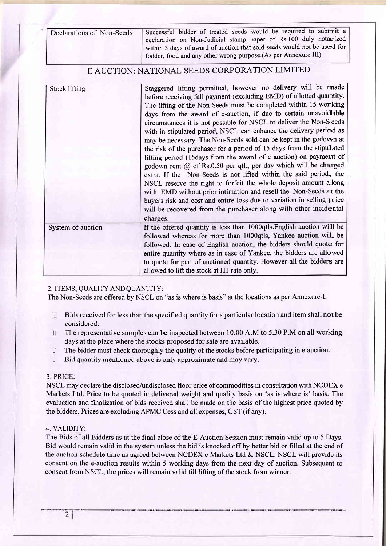| Declarations of Non-Seeds | Successful bidder of treated seeds would be required to subrnit a<br>declaration on Non-Judicial stamp paper of Rs.100 duly notarized<br>within 3 days of award of auction that sold seeds would not be used for<br>fodder, food and any other wrong purpose.(As per Annexure III)                                                                                                                                                                                                                                                                                                                                                                                                                                                                                                                                                                                                                                                                                                                                                                                                       |
|---------------------------|------------------------------------------------------------------------------------------------------------------------------------------------------------------------------------------------------------------------------------------------------------------------------------------------------------------------------------------------------------------------------------------------------------------------------------------------------------------------------------------------------------------------------------------------------------------------------------------------------------------------------------------------------------------------------------------------------------------------------------------------------------------------------------------------------------------------------------------------------------------------------------------------------------------------------------------------------------------------------------------------------------------------------------------------------------------------------------------|
|                           | E AUCTION: NATIONAL SEEDS CORPORATION LIMITED                                                                                                                                                                                                                                                                                                                                                                                                                                                                                                                                                                                                                                                                                                                                                                                                                                                                                                                                                                                                                                            |
| <b>Stock lifting</b>      | Staggered lifting permitted, however no delivery will be made<br>before receiving full payment (excluding EMD) of allotted quaritity.<br>The lifting of the Non-Seeds must be completed within 15 working<br>days from the award of e-auction, if due to certain unavoidable<br>circumstances it is not possible for NSCL to deliver the Non-S eeds<br>with in stipulated period, NSCL can enhance the delivery period as<br>may be necessary. The Non-Seeds sold can be kept in the godown at<br>the risk of the purchaser for a period of 15 days from the stipulated<br>lifting period (15days from the award of e auction) on payment of<br>godown rent @ of Rs.0.50 per qtl., per day which will be charged<br>extra. If the Non-Seeds is not lifted within the said period, the<br>NSCL reserve the right to forfeit the whole deposit amount along<br>with EMD without prior intimation and resell the Non-Seeds at the<br>buyers risk and cost and entire loss due to variation in selling price<br>will be recovered from the purchaser along with other incidental<br>charges. |
| System of auction         | If the offered quantity is less than 1000qtls. English auction will be<br>followed whereas for more than 1000qtls, Yankee auction will be<br>followed. In case of English auction, the bidders should quote for<br>entire quantity where as in case of Yankee, the bidders are allowed<br>to quote for part of auctioned quantity. However all the bidders are<br>allowed to lift the stock at H1 rate only.                                                                                                                                                                                                                                                                                                                                                                                                                                                                                                                                                                                                                                                                             |

## 2. ITEMS. OUALITY AND QUANTITY:

The Non-Seeds are offered by NSCL on "as is where is basis" at the locations as per Annexure-L

- $\mathbb{I}$ Bids received for less than the specified quantity for a particular location and item shall not be considered.
- The representative samples can be inspected between 10.00 A.M to 5.30 P.M on all working  $\Box$ days at the place where the stocks proposed for sale are available.
- $\Box$ The bidder must check thoroughly the quality of the stocks before participating in e auction.
- $\Box$ Bid quantity mentioned above is only approximate and may vary.

### 3. PRICE:

NSCL may declare the disclosed/undisclosed floor price of commodities in consultation with NCDEX e Markets Ltd. Price to be quoted in delivered weight and quality basis on 'as is where is' basis. The evaluation and finalization of bids received shall be made on the basis of the highest price quoted by the bidders. Prices are excluding APMC Cess and all expenses, GST (if any).

## 4. VALIDITY:

The Bids of all Bidders as at the final close of the E-Auction Session must remain valid up to 5 Days. Bid would remain valid in the system unless the bid is knocked off by better bid or filled at the end of the auction schedule time as agreed between NCDEX e Markets Ltd & NSCL. NSCL will provide its consent on the e-auction results within 5 working days from the next day of auction. Subsequent to consent from NSCL, the prices will remain valid till lifting of the stock from winner.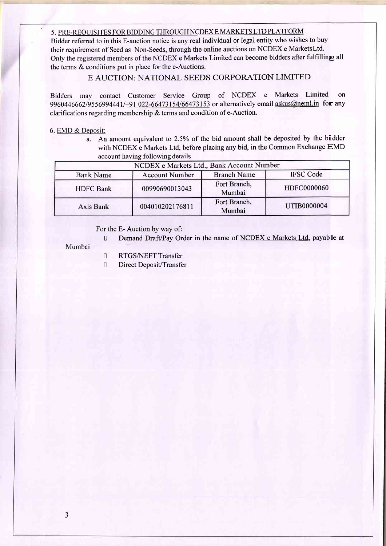## 5. PRE-REOUISITES FOR BIDDING THROUGH NCDEX E MARKETS LTD PLATFORM

Bidder referred to in this E-auction notice is any real individual or legal entity who wishes to buy their requirement of Seed as Non-Seeds, through the online auctions on NCDEX e MarketsLtd. Only the registered members of the NCDEX e Markets Limited can become bidders after fulfilling all the terms & conditions put in place for the e-Auctions.

## E AUCTION: NATIONAL SEEDS CORPORATION LIMITED

Bidders may contact Customer Service Group of NCDEX e Markets Limited on 9960446662/9556994441/+91 022-66473154/66473153 or alternatively email askus@neml.in for any clarifications regarding membership & terms and condition of e-Auction.

#### 6. EMD & Deposit:

.

a. An amount equivalent to 2.5Yo of the bid amount shall be deposited by the bidder with NCDEX e Markets Ltd, before placing any bid, in the Common Exchange EMD account having following details

| NCDEX e Markets Ltd., Bank Account Number |                       |                        |                    |
|-------------------------------------------|-----------------------|------------------------|--------------------|
| <b>Bank Name</b>                          | <b>Account Number</b> | <b>Branch Name</b>     | <b>IFSC Code</b>   |
| <b>HDFC</b> Bank                          | 00990690013043        | Fort Branch,<br>Mumbai | HDFC0000060        |
| Axis Bank                                 | 004010202176811       | Fort Branch,<br>Mumbai | <b>UTIB0000004</b> |

### For the E- Auction by way of:

D Demand Draft/Pay Order in the name of NCDEX e Markets Ltd, payable at

#### Mumbai

- I RTGS/NEFT Transfer
- I Direct DeposiVTransfer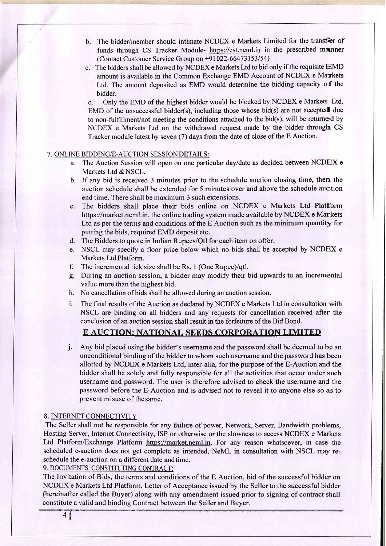- b. The bidder/member should intimate NCDEX e Markets Limited for the transfer of funds through CS Tracker Module- https://cst.neml.in in the prescribed manner (Contact Customer Service Group on \*91022-66473153154)
- c. The bidders shall be allowed by NCDEX e Markets Ltd to bid only if the requisite  $EMD$ amount is available in the Common Exchange EMD Account of NCDEX e Markets Ltd. The amount deposited as EMD would determine the bidding capacity of the bidder.

d. Only the EMD of the highest bidder would be blocked by NCDEX e Markets Ltd. EMD of the unsuccessful bidder(s), including those whose bid(s) are not accepted due to non-fulfillment/not meeting the conditions attached to the bid(s), will be retumed by NCDEX e Markets Ltd on the withdrawal request made by the bidder through CS Tracker module latest by seven (7) days from the date of close of the E Auction.

## 7. ONLINE BIDDING/E-AUCTION SESSION DETAILS:

- a. The Auction Session will open on one particular dayldate as decided between NCDEX <sup>e</sup> Markets Ltd & NSCL.
- b. If any bid is received 3 minutes prior to the schedule auction closing time, then the auction schedule shall be extended for 5 minutes over and above the schedule auction end time. There shall be maximum 3 such extensions.
- c. The bidders shall place their bids online on NCDEX e Markets Ltd Platform https://market.neml.in, the online trading system made available by NCDEX e Markets Ltd as per the terms and conditions of the E Auction such as the minimum quantity for putting the bids, required EMD deposit etc.
- d. The Bidders to quote in Indian Rupees/Qtl for each item on offer.
- e. NSCL may specify a floor price below which no bids shall be accepted by NCDEX e Markets Ltd Platform.
- f. The incremental tick size shall be Rs. 1 (One Rupee)/qtl.
- g. During an auction session, a bidder may modify their bid upwards to an incremental value more than the highest bid.
- h. No cancellation of bids shall be allowed during an auction session.
- i. The final results of the Auction as declared by NCDEX e Markets Ltd in consultation with NSCL are binding on all bidders and any requests for cancellation received after the conclusion of an auction session shall result in the forfeiture of the Bid Bond.

## E AUCTION: NATIONAL SEEDS CORPORATION LIMITED

j. Any bid placed using the bidder's username and the password shall be deemed to be an unconditional binding of the bidder to whom such username and the password has been allotted by NCDEX e Markets Ltd, inter-alia, for the purpose of the E-Auction and the bidder shall be solely and fully responsible for all the activities that occur under such username and password. The user is therefore advised to check the username and the password before the E-Auction and is advised not to reveal it to anyone else so as to prevent misuse of thesame.

### 8. INTERNET CONNECTIVITY

The Seller shall not be responsible for any failure of power, Network, Server, Bandwidth problems, Hosting Server, Intemet Connectivity, ISP or otherwise or the slowness to access NCDEX e Markets Ltd Platform/Exchange Platform https://market.neml.in. For any reason whatsoever, in case the scheduled e-auction does not get complete as intended, NeML in consultation with NSCL may reschedule the e-auction on a different date andtime.

9. DOCUMENTS CONSTITUTING CONTRACT:

The Invitation of Bids, the terms and conditions of the E Auction, bid of the successful bidder on NCDEX e Markets Ltd Platform, Letter of Acceptance issued by the Seller to the successful bidder (hereinafter called the Buyer) along with any amendment issued prior to signing of contract shall constitute avalid and bindine Contract between the Seller and Buver.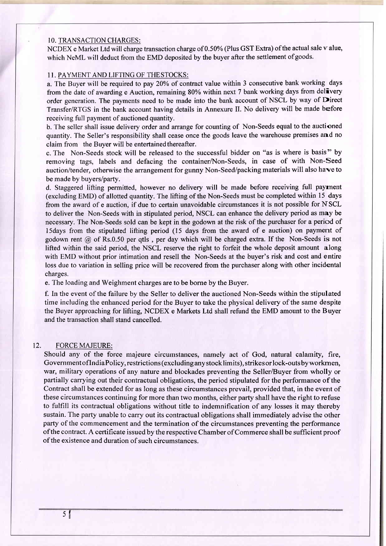#### 10. TRANSACTION CHARGES:

NCDEX e Market Ltd will charge transaction charge of 0.50% (Plus GST Extra) of the actual sale value, which NeML will deduct from the EMD deposited by the buyer after the settlement of goods.

## 1I. PAYMENT AND LIFTING OF THESTOCKS:

a. The Buyer will be required to pay 20% of contract value within 3 consecutive bank working days from the date of awarding e Auction, remaining 80% within next 7 bank working days from delivery order generation. The payments need to be made into the bank account of NSCL by way of Direct Transfer/RTGS in the bank account having details in Annexure II. No delivery will be made before receiving full payment of auctioned quantity.

b. The seller shall issue delivery order and arrange for counting of Non-Seeds equal to the auctioned quantity. The Seller's responsibility shall cease once the goods leave the warehouse premises and no claim from the Buyer will be entertained thereafter.

c. The Non-Seeds stock will be released to the successful bidder on "as is where is basis" by removing tags, labels and defacing the container/Non-Seeds, in case of with Non-Seed auction/tender, otherwise the arrangement for gunny Non-Seed/packing materials will also have to be made by buyers/party.

d. Staggered lifting permiffed, however no delivery will be made before receiving full payrnent (excluding EMD) of allotted quantity. The lifting of the Non-Seeds must be completed within 15 days from the award of e auction, if due to certain unavoidable circumstances it is not possible for NSCL to deliver the Non-Seeds with in stipulated period, NSCL can enhance the delivery period as may be necessary. The Non-Seeds sold can be kept in the godown at the risk of the purchaser for a period of l5days from the stipulated lifting period (15 days from the award of e auction) on payment of godown rent  $\hat{\omega}$  of Rs.0.50 per qtls, per day which will be charged extra. If the Non-Seeds is not lifted within the said period, the NSCL reserye the right to forfeit the whole deposit amount along with EMD without prior intimation and resell the Non-Seeds at the buyer's risk and cost and entire loss due to variation in selling price will be recovered from the purchaser along with other incidental charges.

e. The loading and Weighment charges are to be borne by the Buyer.

f. In the event of the failure by the Seller to deliver the auctioned Non-Seeds within the stipulated time including the enhanced period for the Buyer to take the physical delivery of the same despite the Buyer approaching for lifting, NCDEX e Markets Ltd shall refund the EMD amount to the Buyer and the transaction shall stand cancelled.

### 12. FORCE MAJEURE:

Should any of the force majeure circumstances, namely act of God, natural calamity, fire, GovernmentoflndiaPolicy, restrictions (excludinganystocklimits), strikesorlock-outsbyworkrnen, war, military operations of any nature and blockades preventing the Seller/Buyer from wholly or partially carrying out their contractual obligations, the period stipulated for the performance of the Contract shall be extended for as long as these circumstances prevail, provided that, in the event of these circumstances continuing for more than two months, either party shall have the right to refuse to fulfill its contractual obligations without title to indemnification of any losses it may thereby sustain. The party unable to carry out its contractual obligations shall immediately advise the other party of the commencement and the termination of the circumstances preventing the performance ofthe contract. A certificate issued by the respective Chamber of Commerce shall be sufficient proof of the existence and duration of such circumstances.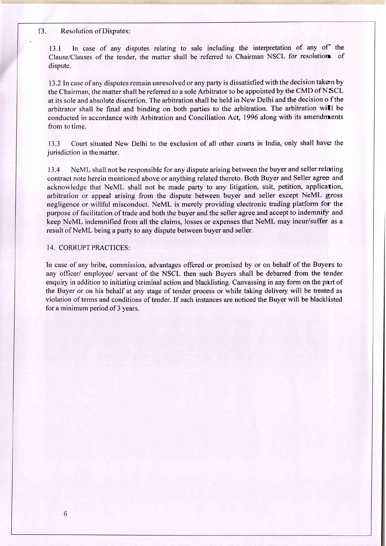#### i3. Resolution ofDisputes:

13.1 In case of any disputes relating to sale including the interpretation of any of the Clause/Clauses of the tender. the matter shall be referred to Chairman NSCL for resolution of dispute.

13.2 In case of any disputes remain unresolved or any party is dissatisfied with the decision taken by the Chairman, the matter shall be referred to a sole Arbitrator to be appointed by the CMD of NSCL at its sole and absolute discretion. The arbitration shall be held in New Delhi and the decision o f the arbitrator shall be final and binding on both parties to the arbitration. The arbitration will be conducted in accordance with Arbitration and Conciliation Act, 1996 along with its amendments from to time.

13.3 Court situated New Delhi to the exclusion of all other courts in India, only shall have the jurisdiction in the matter.

13.4 NeML shall not be responsible for any dispute arising between the buyer and seller relating contract note herein mentioned above or anything related thereto. Both Buyer and Seller agree and acknowledge that NeML shall not be made party to any litigation, suit, petition, application, arbitration or appeal arising from the dispute between buyer and seller except NeML gross negligence or willful misconduct. NeML is merely providing electronic trading platform for the purpose of facilitation of trade and both the buyer and the seller agree and accept to indemnify and keep NeML indemnified from all the claims, losses or expenses that NeML may incur/suffer as a result of NeML being a party to any dispute between buyer and seller.

#### 14. CORRUPT PRACTICES:

In case of any bribe, commission, advantages offered or promised by or on behalf of the Buyers to any officer/ employee/ seryant of the NSCL then such Buyers shall be debaned from the tender enquiry in addition to initiating criminal action and blacklisting. Canvassing in any form on the part of the Buyer or on his behalf at any stage of tender process or while taking delivery will be treated as violation of terms and conditions of tender. If such instances are noticed the Buyer will be blacklisted for a minimum period of 3 years.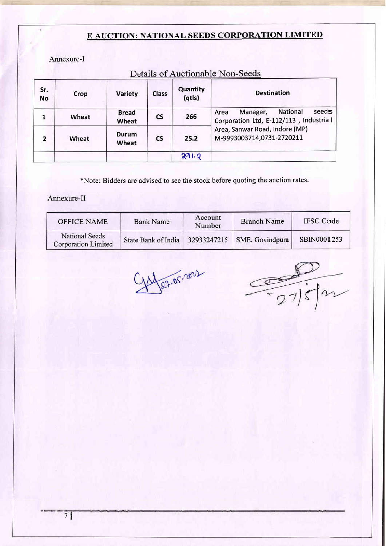# E AUCTION: NATIONAL SEEDS CORPORATION LIMITED

Annexure-I

| Detaile Of Tractionable From Decas |       |                              |              |                    |                                                                                  |
|------------------------------------|-------|------------------------------|--------------|--------------------|----------------------------------------------------------------------------------|
| Sr.<br><b>No</b>                   | Crop  | Variety                      | <b>Class</b> | Quantity<br>(qtls) | <b>Destination</b>                                                               |
| 1                                  | Wheat | <b>Bread</b><br><b>Wheat</b> | <b>CS</b>    | 266                | seeds<br>National<br>Manager,<br>Area<br>Corporation Ltd, E-112/113, Industria l |
| $\overline{2}$                     | Wheat | Durum<br><b>Wheat</b>        | <b>CS</b>    | 25.2               | Area, Sanwar Road, Indore (MP)<br>M-9993003714,0731-2720211                      |
|                                    |       |                              |              | 291.2              |                                                                                  |

# Details of Auctionable Non-Seeds

\*Note: Bidders are advised to see the stock before quoting the auction rates.

## Annexure-II

| <b>OFFICE NAME</b>                           | <b>Bank Name</b>    | Account<br>Number | <b>Branch Name</b> | <b>IFSC</b> Code   |
|----------------------------------------------|---------------------|-------------------|--------------------|--------------------|
| National Seeds<br><b>Corporation Limited</b> | State Bank of India | 32933247215       | SME, Govindpura    | <b>SBIN0001253</b> |

1/27.05.2022

 $\frac{D}{1275m}$